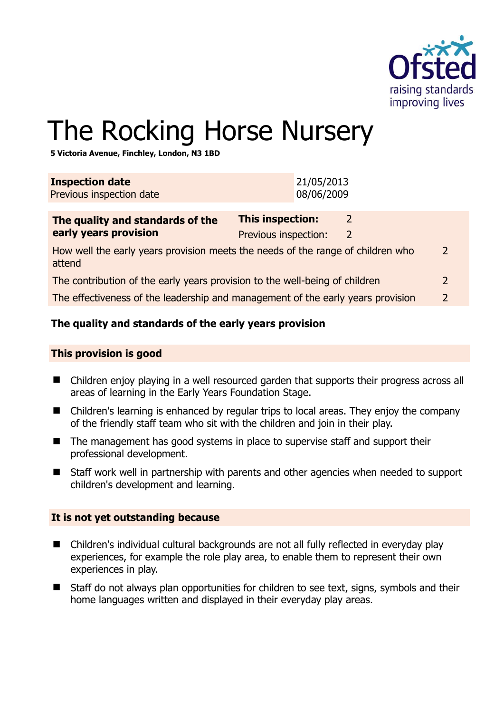

# The Rocking Horse Nursery

**5 Victoria Avenue, Finchley, London, N3 1BD** 

| <b>Inspection date</b><br>Previous inspection date                                                         |                                          | 21/05/2013<br>08/06/2009 |                                 |               |
|------------------------------------------------------------------------------------------------------------|------------------------------------------|--------------------------|---------------------------------|---------------|
| The quality and standards of the<br>early years provision                                                  | This inspection:<br>Previous inspection: |                          | $\overline{2}$<br>$\mathcal{L}$ |               |
| How well the early years provision meets the needs of the range of children who<br>$\mathcal{L}$<br>attend |                                          |                          |                                 |               |
| The contribution of the early years provision to the well-being of children                                |                                          |                          |                                 | $\mathcal{L}$ |
| The effectiveness of the leadership and management of the early years provision<br>2                       |                                          |                          |                                 |               |
|                                                                                                            |                                          |                          |                                 |               |

## **The quality and standards of the early years provision**

#### **This provision is good**

- Children enjoy playing in a well resourced garden that supports their progress across all areas of learning in the Early Years Foundation Stage.
- Children's learning is enhanced by regular trips to local areas. They enjoy the company of the friendly staff team who sit with the children and join in their play.
- The management has good systems in place to supervise staff and support their professional development.
- Staff work well in partnership with parents and other agencies when needed to support children's development and learning.

#### **It is not yet outstanding because**

- Children's individual cultural backgrounds are not all fully reflected in everyday play experiences, for example the role play area, to enable them to represent their own experiences in play.
- Staff do not always plan opportunities for children to see text, signs, symbols and their home languages written and displayed in their everyday play areas.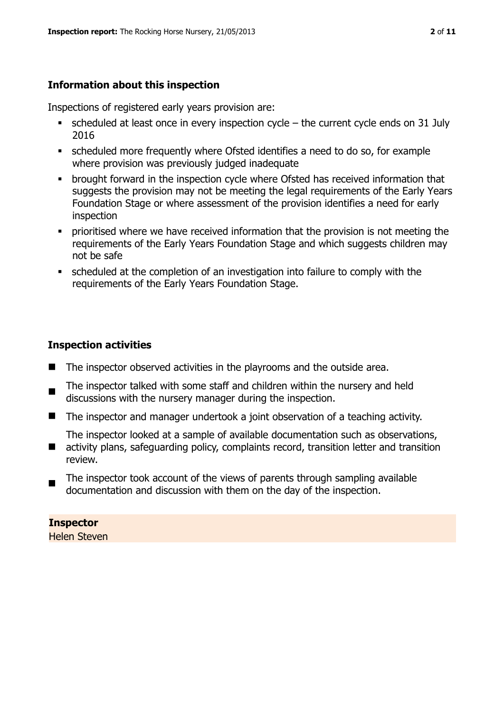## **Information about this inspection**

Inspections of registered early years provision are:

- scheduled at least once in every inspection cycle the current cycle ends on 31 July 2016
- scheduled more frequently where Ofsted identifies a need to do so, for example where provision was previously judged inadequate
- **•** brought forward in the inspection cycle where Ofsted has received information that suggests the provision may not be meeting the legal requirements of the Early Years Foundation Stage or where assessment of the provision identifies a need for early inspection
- **•** prioritised where we have received information that the provision is not meeting the requirements of the Early Years Foundation Stage and which suggests children may not be safe
- scheduled at the completion of an investigation into failure to comply with the requirements of the Early Years Foundation Stage.

## **Inspection activities**

- The inspector observed activities in the playrooms and the outside area.
- The inspector talked with some staff and children within the nursery and held discussions with the nursery manager during the inspection.
- The inspector and manager undertook a joint observation of a teaching activity.

The inspector looked at a sample of available documentation such as observations,

- $\blacksquare$ activity plans, safeguarding policy, complaints record, transition letter and transition review.
- $\blacksquare$ The inspector took account of the views of parents through sampling available documentation and discussion with them on the day of the inspection.

## **Inspector**

Helen Steven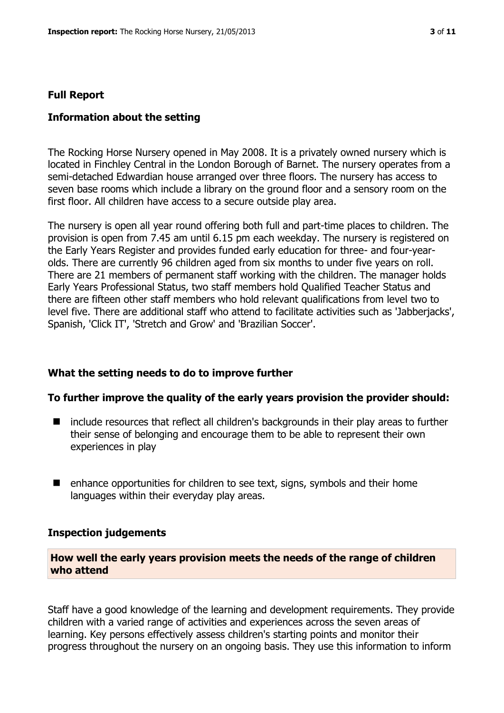#### **Full Report**

#### **Information about the setting**

The Rocking Horse Nursery opened in May 2008. It is a privately owned nursery which is located in Finchley Central in the London Borough of Barnet. The nursery operates from a semi-detached Edwardian house arranged over three floors. The nursery has access to seven base rooms which include a library on the ground floor and a sensory room on the first floor. All children have access to a secure outside play area.

The nursery is open all year round offering both full and part-time places to children. The provision is open from 7.45 am until 6.15 pm each weekday. The nursery is registered on the Early Years Register and provides funded early education for three- and four-yearolds. There are currently 96 children aged from six months to under five years on roll. There are 21 members of permanent staff working with the children. The manager holds Early Years Professional Status, two staff members hold Qualified Teacher Status and there are fifteen other staff members who hold relevant qualifications from level two to level five. There are additional staff who attend to facilitate activities such as 'Jabberjacks', Spanish, 'Click IT', 'Stretch and Grow' and 'Brazilian Soccer'.

#### **What the setting needs to do to improve further**

#### **To further improve the quality of the early years provision the provider should:**

- include resources that reflect all children's backgrounds in their play areas to further their sense of belonging and encourage them to be able to represent their own experiences in play
- $\blacksquare$  enhance opportunities for children to see text, signs, symbols and their home languages within their everyday play areas.

#### **Inspection judgements**

#### **How well the early years provision meets the needs of the range of children who attend**

Staff have a good knowledge of the learning and development requirements. They provide children with a varied range of activities and experiences across the seven areas of learning. Key persons effectively assess children's starting points and monitor their progress throughout the nursery on an ongoing basis. They use this information to inform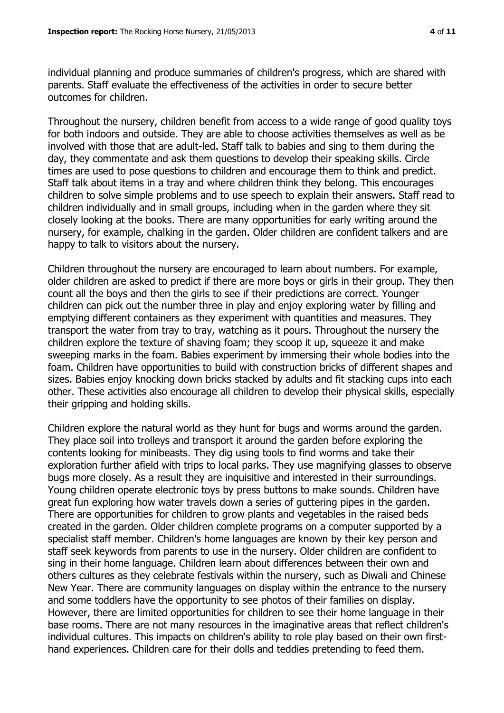individual planning and produce summaries of children's progress, which are shared with parents. Staff evaluate the effectiveness of the activities in order to secure better outcomes for children.

Throughout the nursery, children benefit from access to a wide range of good quality toys for both indoors and outside. They are able to choose activities themselves as well as be involved with those that are adult-led. Staff talk to babies and sing to them during the day, they commentate and ask them questions to develop their speaking skills. Circle times are used to pose questions to children and encourage them to think and predict. Staff talk about items in a tray and where children think they belong. This encourages children to solve simple problems and to use speech to explain their answers. Staff read to children individually and in small groups, including when in the garden where they sit closely looking at the books. There are many opportunities for early writing around the nursery, for example, chalking in the garden. Older children are confident talkers and are happy to talk to visitors about the nursery.

Children throughout the nursery are encouraged to learn about numbers. For example, older children are asked to predict if there are more boys or girls in their group. They then count all the boys and then the girls to see if their predictions are correct. Younger children can pick out the number three in play and enjoy exploring water by filling and emptying different containers as they experiment with quantities and measures. They transport the water from tray to tray, watching as it pours. Throughout the nursery the children explore the texture of shaving foam; they scoop it up, squeeze it and make sweeping marks in the foam. Babies experiment by immersing their whole bodies into the foam. Children have opportunities to build with construction bricks of different shapes and sizes. Babies enjoy knocking down bricks stacked by adults and fit stacking cups into each other. These activities also encourage all children to develop their physical skills, especially their gripping and holding skills.

Children explore the natural world as they hunt for bugs and worms around the garden. They place soil into trolleys and transport it around the garden before exploring the contents looking for minibeasts. They dig using tools to find worms and take their exploration further afield with trips to local parks. They use magnifying glasses to observe bugs more closely. As a result they are inquisitive and interested in their surroundings. Young children operate electronic toys by press buttons to make sounds. Children have great fun exploring how water travels down a series of guttering pipes in the garden. There are opportunities for children to grow plants and vegetables in the raised beds created in the garden. Older children complete programs on a computer supported by a specialist staff member. Children's home languages are known by their key person and staff seek keywords from parents to use in the nursery. Older children are confident to sing in their home language. Children learn about differences between their own and others cultures as they celebrate festivals within the nursery, such as Diwali and Chinese New Year. There are community languages on display within the entrance to the nursery and some toddlers have the opportunity to see photos of their families on display. However, there are limited opportunities for children to see their home language in their base rooms. There are not many resources in the imaginative areas that reflect children's individual cultures. This impacts on children's ability to role play based on their own firsthand experiences. Children care for their dolls and teddies pretending to feed them.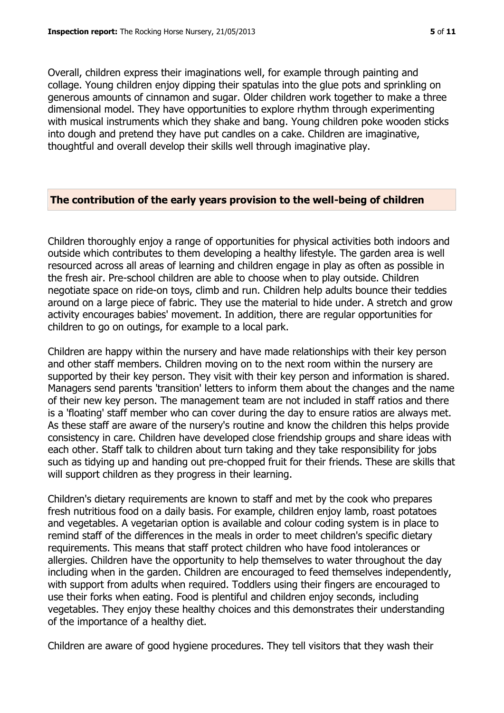Overall, children express their imaginations well, for example through painting and collage. Young children enjoy dipping their spatulas into the glue pots and sprinkling on generous amounts of cinnamon and sugar. Older children work together to make a three dimensional model. They have opportunities to explore rhythm through experimenting with musical instruments which they shake and bang. Young children poke wooden sticks into dough and pretend they have put candles on a cake. Children are imaginative, thoughtful and overall develop their skills well through imaginative play.

#### **The contribution of the early years provision to the well-being of children**

Children thoroughly enjoy a range of opportunities for physical activities both indoors and outside which contributes to them developing a healthy lifestyle. The garden area is well resourced across all areas of learning and children engage in play as often as possible in the fresh air. Pre-school children are able to choose when to play outside. Children negotiate space on ride-on toys, climb and run. Children help adults bounce their teddies around on a large piece of fabric. They use the material to hide under. A stretch and grow activity encourages babies' movement. In addition, there are regular opportunities for children to go on outings, for example to a local park.

Children are happy within the nursery and have made relationships with their key person and other staff members. Children moving on to the next room within the nursery are supported by their key person. They visit with their key person and information is shared. Managers send parents 'transition' letters to inform them about the changes and the name of their new key person. The management team are not included in staff ratios and there is a 'floating' staff member who can cover during the day to ensure ratios are always met. As these staff are aware of the nursery's routine and know the children this helps provide consistency in care. Children have developed close friendship groups and share ideas with each other. Staff talk to children about turn taking and they take responsibility for jobs such as tidying up and handing out pre-chopped fruit for their friends. These are skills that will support children as they progress in their learning.

Children's dietary requirements are known to staff and met by the cook who prepares fresh nutritious food on a daily basis. For example, children enjoy lamb, roast potatoes and vegetables. A vegetarian option is available and colour coding system is in place to remind staff of the differences in the meals in order to meet children's specific dietary requirements. This means that staff protect children who have food intolerances or allergies. Children have the opportunity to help themselves to water throughout the day including when in the garden. Children are encouraged to feed themselves independently, with support from adults when required. Toddlers using their fingers are encouraged to use their forks when eating. Food is plentiful and children enjoy seconds, including vegetables. They enjoy these healthy choices and this demonstrates their understanding of the importance of a healthy diet.

Children are aware of good hygiene procedures. They tell visitors that they wash their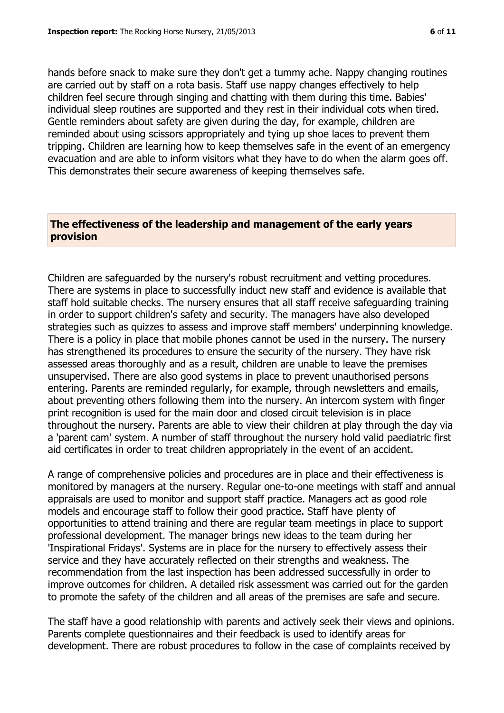hands before snack to make sure they don't get a tummy ache. Nappy changing routines are carried out by staff on a rota basis. Staff use nappy changes effectively to help children feel secure through singing and chatting with them during this time. Babies' individual sleep routines are supported and they rest in their individual cots when tired. Gentle reminders about safety are given during the day, for example, children are reminded about using scissors appropriately and tying up shoe laces to prevent them tripping. Children are learning how to keep themselves safe in the event of an emergency evacuation and are able to inform visitors what they have to do when the alarm goes off. This demonstrates their secure awareness of keeping themselves safe.

## **The effectiveness of the leadership and management of the early years provision**

Children are safeguarded by the nursery's robust recruitment and vetting procedures. There are systems in place to successfully induct new staff and evidence is available that staff hold suitable checks. The nursery ensures that all staff receive safeguarding training in order to support children's safety and security. The managers have also developed strategies such as quizzes to assess and improve staff members' underpinning knowledge. There is a policy in place that mobile phones cannot be used in the nursery. The nursery has strengthened its procedures to ensure the security of the nursery. They have risk assessed areas thoroughly and as a result, children are unable to leave the premises unsupervised. There are also good systems in place to prevent unauthorised persons entering. Parents are reminded regularly, for example, through newsletters and emails, about preventing others following them into the nursery. An intercom system with finger print recognition is used for the main door and closed circuit television is in place throughout the nursery. Parents are able to view their children at play through the day via a 'parent cam' system. A number of staff throughout the nursery hold valid paediatric first aid certificates in order to treat children appropriately in the event of an accident.

A range of comprehensive policies and procedures are in place and their effectiveness is monitored by managers at the nursery. Regular one-to-one meetings with staff and annual appraisals are used to monitor and support staff practice. Managers act as good role models and encourage staff to follow their good practice. Staff have plenty of opportunities to attend training and there are regular team meetings in place to support professional development. The manager brings new ideas to the team during her 'Inspirational Fridays'. Systems are in place for the nursery to effectively assess their service and they have accurately reflected on their strengths and weakness. The recommendation from the last inspection has been addressed successfully in order to improve outcomes for children. A detailed risk assessment was carried out for the garden to promote the safety of the children and all areas of the premises are safe and secure.

The staff have a good relationship with parents and actively seek their views and opinions. Parents complete questionnaires and their feedback is used to identify areas for development. There are robust procedures to follow in the case of complaints received by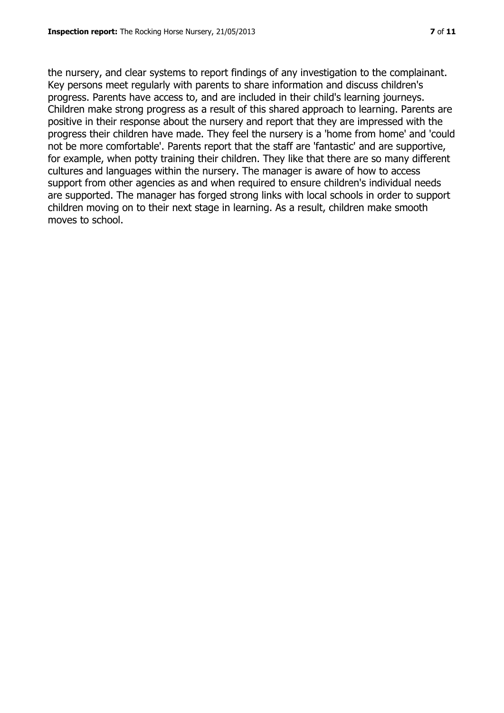the nursery, and clear systems to report findings of any investigation to the complainant. Key persons meet regularly with parents to share information and discuss children's progress. Parents have access to, and are included in their child's learning journeys. Children make strong progress as a result of this shared approach to learning. Parents are positive in their response about the nursery and report that they are impressed with the progress their children have made. They feel the nursery is a 'home from home' and 'could not be more comfortable'. Parents report that the staff are 'fantastic' and are supportive, for example, when potty training their children. They like that there are so many different cultures and languages within the nursery. The manager is aware of how to access support from other agencies as and when required to ensure children's individual needs are supported. The manager has forged strong links with local schools in order to support children moving on to their next stage in learning. As a result, children make smooth moves to school.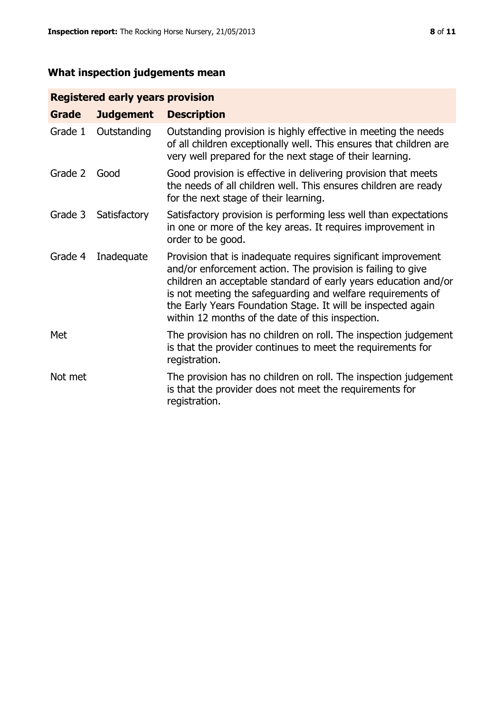# **What inspection judgements mean**

## **Registered early years provision**

| Grade   | <b>Judgement</b> | <b>Description</b>                                                                                                                                                                                                                                                                                                                                                                 |
|---------|------------------|------------------------------------------------------------------------------------------------------------------------------------------------------------------------------------------------------------------------------------------------------------------------------------------------------------------------------------------------------------------------------------|
| Grade 1 | Outstanding      | Outstanding provision is highly effective in meeting the needs<br>of all children exceptionally well. This ensures that children are<br>very well prepared for the next stage of their learning.                                                                                                                                                                                   |
| Grade 2 | Good             | Good provision is effective in delivering provision that meets<br>the needs of all children well. This ensures children are ready<br>for the next stage of their learning.                                                                                                                                                                                                         |
| Grade 3 | Satisfactory     | Satisfactory provision is performing less well than expectations<br>in one or more of the key areas. It requires improvement in<br>order to be good.                                                                                                                                                                                                                               |
| Grade 4 | Inadequate       | Provision that is inadequate requires significant improvement<br>and/or enforcement action. The provision is failing to give<br>children an acceptable standard of early years education and/or<br>is not meeting the safeguarding and welfare requirements of<br>the Early Years Foundation Stage. It will be inspected again<br>within 12 months of the date of this inspection. |
| Met     |                  | The provision has no children on roll. The inspection judgement<br>is that the provider continues to meet the requirements for<br>registration.                                                                                                                                                                                                                                    |
| Not met |                  | The provision has no children on roll. The inspection judgement<br>is that the provider does not meet the requirements for<br>registration.                                                                                                                                                                                                                                        |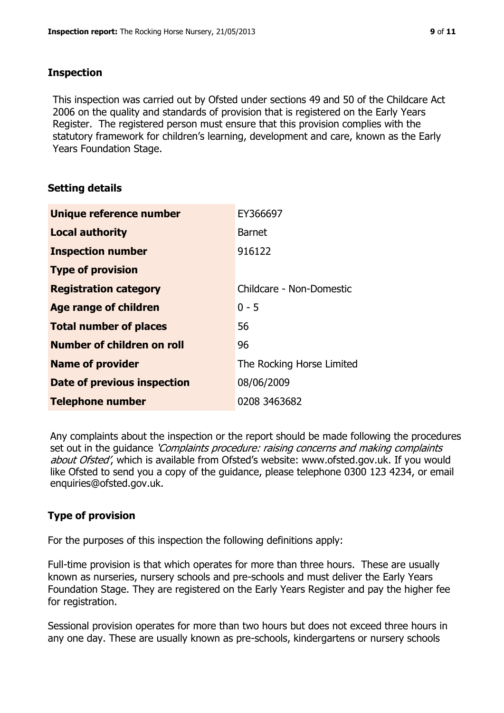### **Inspection**

This inspection was carried out by Ofsted under sections 49 and 50 of the Childcare Act 2006 on the quality and standards of provision that is registered on the Early Years Register. The registered person must ensure that this provision complies with the statutory framework for children's learning, development and care, known as the Early Years Foundation Stage.

## **Setting details**

| Unique reference number            | EY366697                  |
|------------------------------------|---------------------------|
| <b>Local authority</b>             | <b>Barnet</b>             |
| <b>Inspection number</b>           | 916122                    |
| <b>Type of provision</b>           |                           |
| <b>Registration category</b>       | Childcare - Non-Domestic  |
| Age range of children              | $0 - 5$                   |
| <b>Total number of places</b>      | 56                        |
| Number of children on roll         | 96                        |
| <b>Name of provider</b>            | The Rocking Horse Limited |
| <b>Date of previous inspection</b> | 08/06/2009                |
| <b>Telephone number</b>            | 0208 3463682              |

Any complaints about the inspection or the report should be made following the procedures set out in the guidance *'Complaints procedure: raising concerns and making complaints* about Ofsted', which is available from Ofsted's website: www.ofsted.gov.uk. If you would like Ofsted to send you a copy of the guidance, please telephone 0300 123 4234, or email enquiries@ofsted.gov.uk.

## **Type of provision**

For the purposes of this inspection the following definitions apply:

Full-time provision is that which operates for more than three hours. These are usually known as nurseries, nursery schools and pre-schools and must deliver the Early Years Foundation Stage. They are registered on the Early Years Register and pay the higher fee for registration.

Sessional provision operates for more than two hours but does not exceed three hours in any one day. These are usually known as pre-schools, kindergartens or nursery schools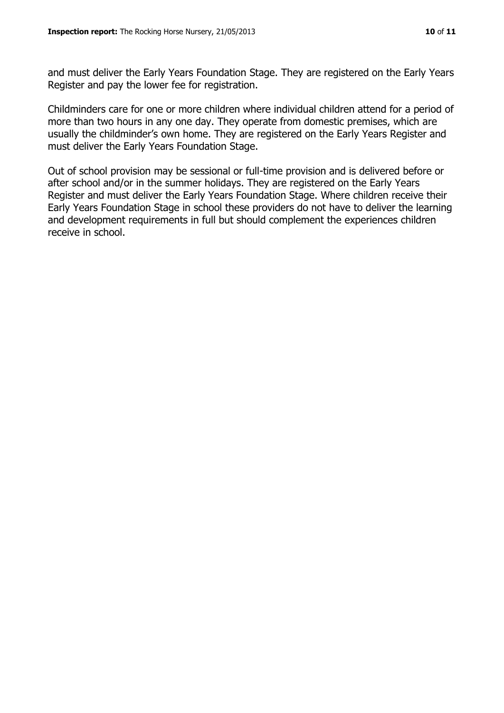and must deliver the Early Years Foundation Stage. They are registered on the Early Years Register and pay the lower fee for registration.

Childminders care for one or more children where individual children attend for a period of more than two hours in any one day. They operate from domestic premises, which are usually the childminder's own home. They are registered on the Early Years Register and must deliver the Early Years Foundation Stage.

Out of school provision may be sessional or full-time provision and is delivered before or after school and/or in the summer holidays. They are registered on the Early Years Register and must deliver the Early Years Foundation Stage. Where children receive their Early Years Foundation Stage in school these providers do not have to deliver the learning and development requirements in full but should complement the experiences children receive in school.